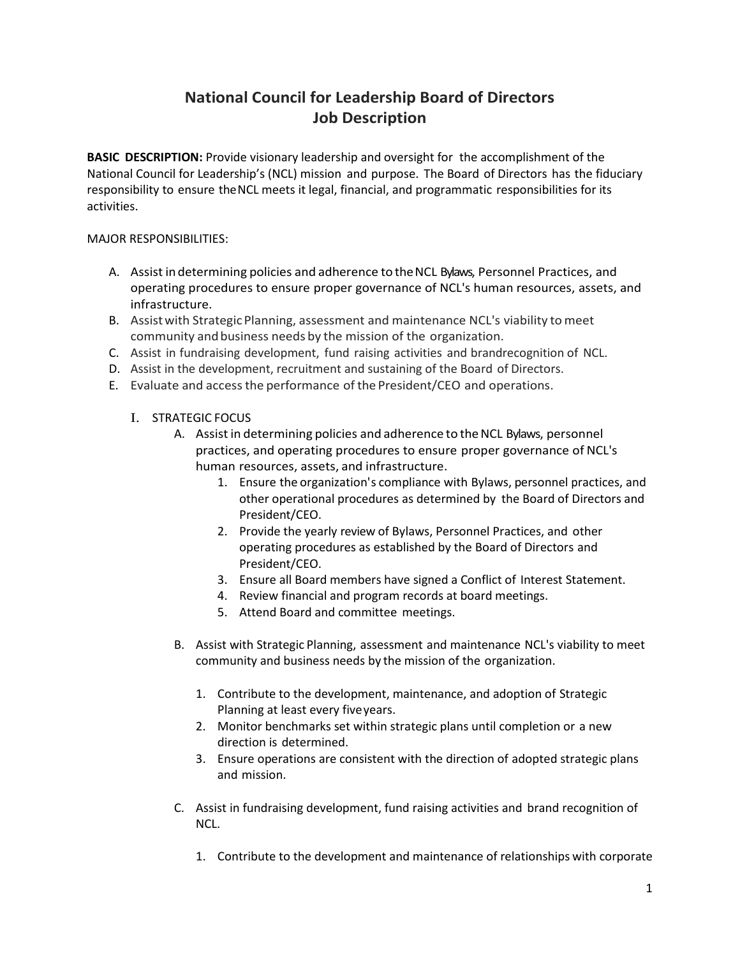# **National Council for Leadership Board of Directors Job Description**

**BASIC DESCRIPTION:** Provide visionary leadership and oversight for the accomplishment of the National Council for Leadership's (NCL) mission and purpose. The Board of Directors has the fiduciary responsibility to ensure theNCL meets it legal, financial, and programmatic responsibilities for its activities.

### MAJOR RESPONSIBILITIES:

- A. Assist in determining policies and adherence to theNCL Bylaws, Personnel Practices, and operating procedures to ensure proper governance of NCL's human resources, assets, and infrastructure.
- B. Assist with Strategic Planning, assessment and maintenance NCL's viability to meet community and business needs by the mission of the organization.
- C. Assist in fundraising development, fund raising activities and brandrecognition of NCL.
- D. Assist in the development, recruitment and sustaining of the Board of Directors.
- E. Evaluate and accessthe performance of the President/CEO and operations.
	- I. STRATEGIC FOCUS
		- A. Assist in determining policies and adherence to the NCL Bylaws, personnel practices, and operating procedures to ensure proper governance of NCL's human resources, assets, and infrastructure.
			- 1. Ensure the organization's compliance with Bylaws, personnel practices, and other operational procedures as determined by the Board of Directors and President/CEO.
			- 2. Provide the yearly review of Bylaws, Personnel Practices, and other operating procedures as established by the Board of Directors and President/CEO.
			- 3. Ensure all Board members have signed a Conflict of Interest Statement.
			- 4. Review financial and program records at board meetings.
			- 5. Attend Board and committee meetings.
		- B. Assist with Strategic Planning, assessment and maintenance NCL's viability to meet community and business needs by the mission of the organization.
			- 1. Contribute to the development, maintenance, and adoption of Strategic Planning at least every fiveyears.
			- 2. Monitor benchmarks set within strategic plans until completion or a new direction is determined.
			- 3. Ensure operations are consistent with the direction of adopted strategic plans and mission.
		- C. Assist in fundraising development, fund raising activities and brand recognition of NCL.
			- 1. Contribute to the development and maintenance of relationships with corporate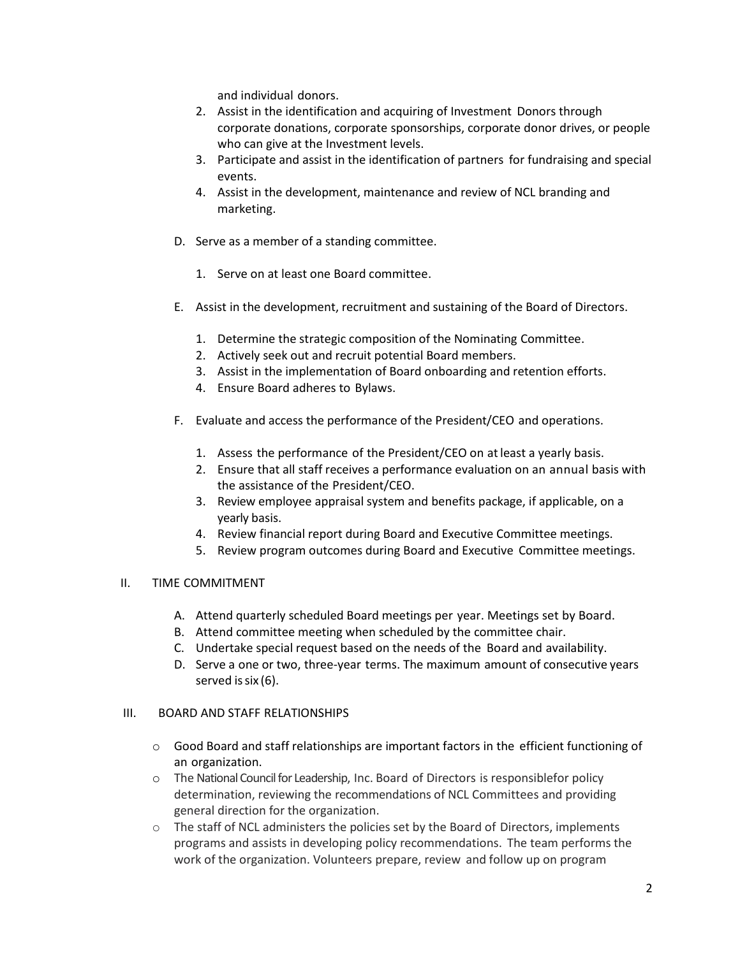and individual donors.

- 2. Assist in the identification and acquiring of Investment Donors through corporate donations, corporate sponsorships, corporate donor drives, or people who can give at the Investment levels.
- 3. Participate and assist in the identification of partners for fundraising and special events.
- 4. Assist in the development, maintenance and review of NCL branding and marketing.
- D. Serve as a member of a standing committee.
	- 1. Serve on at least one Board committee.
- E. Assist in the development, recruitment and sustaining of the Board of Directors.
	- 1. Determine the strategic composition of the Nominating Committee.
	- 2. Actively seek out and recruit potential Board members.
	- 3. Assist in the implementation of Board onboarding and retention efforts.
	- 4. Ensure Board adheres to Bylaws.
- F. Evaluate and access the performance of the President/CEO and operations.
	- 1. Assess the performance of the President/CEO on atleast a yearly basis.
	- 2. Ensure that all staff receives a performance evaluation on an annual basis with the assistance of the President/CEO.
	- 3. Review employee appraisal system and benefits package, if applicable, on a yearly basis.
	- 4. Review financial report during Board and Executive Committee meetings.
	- 5. Review program outcomes during Board and Executive Committee meetings.

#### II. TIME COMMITMENT

- A. Attend quarterly scheduled Board meetings per year. Meetings set by Board.
- B. Attend committee meeting when scheduled by the committee chair.
- C. Undertake special request based on the needs of the Board and availability.
- D. Serve a one or two, three-year terms. The maximum amount of consecutive years served is  $six(6)$ .

#### III. BOARD AND STAFF RELATIONSHIPS

- o Good Board and staff relationships are important factors in the efficient functioning of an organization.
- o The National Council for Leadership, Inc. Board of Directors is responsiblefor policy determination, reviewing the recommendations of NCL Committees and providing general direction for the organization.
- o The staff of NCL administers the policies set by the Board of Directors, implements programs and assists in developing policy recommendations. The team performs the work of the organization. Volunteers prepare, review and follow up on program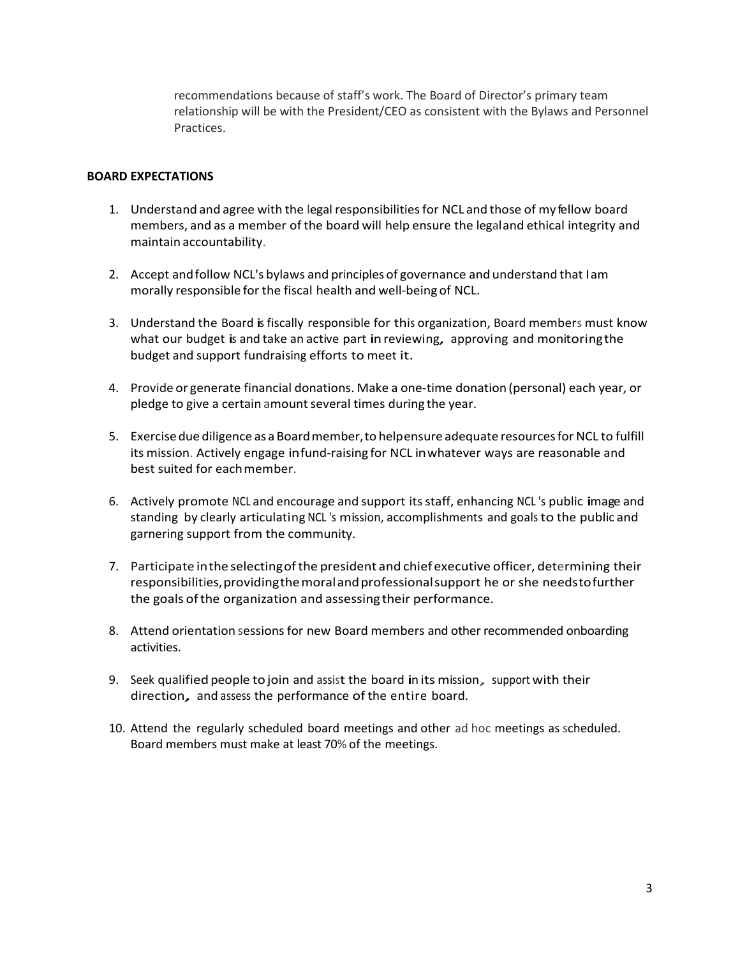recommendations because of staff's work. The Board of Director's primary team relationship will be with the President/CEO as consistent with the Bylaws and Personnel Practices.

#### **BOARD EXPECTATIONS**

- 1. Understand and agree with the legal responsibilitiesfor NCL and those of my fellow board members, and as a member of the board will help ensure the legaland ethical integrity and maintain accountability.
- 2. Accept andfollow NCL's bylaws and principles of governance and understand that Iam morally responsible for the fiscal health and well-being of NCL.
- 3. Understand the Board is fiscally responsible for this organization, Board members must know what our budget is and take an active part in reviewing, approving and monitoring the budget and support fundraising efforts to meet it.
- 4. Provide or generate financial donations. Make a one-time donation (personal) each year, or pledge to give a certain amount several times during the year.
- 5. Exercisedue diligence as a Boardmember,to helpensure adequate resourcesfor NCL to fulfill its mission. Actively engage infund-raising for NCL inwhatever ways are reasonable and best suited for eachmember.
- 6. Actively promote NCL and encourage and support itsstaff, enhancing NCL 's public image and standing by clearly articulating NCL 's mission, accomplishments and goals to the public and garnering support from the community.
- 7. Participate in the selecting of the president and chief executive officer, determining their responsibilities, providing the moral and professional support he or she needs to further the goals ofthe organization and assessing their performance.
- 8. Attend orientation sessions for new Board members and other recommended onboarding activities.
- 9. Seek qualified people to join and assist the board in its mission, support with their direction, and assess the performance of the entire board.
- 10. Attend the regularly scheduled board meetings and other ad hoc meetings as scheduled. Board members must make at least 70% of the meetings.